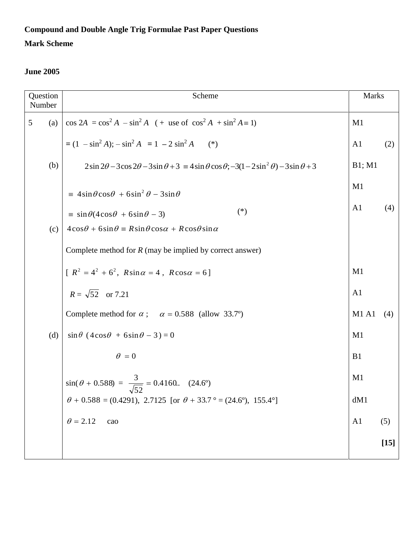# **Compound and Double Angle Trig Formulae Past Paper Questions**

### **Mark Scheme**

| Question<br>Number | Scheme                                                                                                                           | <b>Marks</b>         |        |
|--------------------|----------------------------------------------------------------------------------------------------------------------------------|----------------------|--------|
| 5<br>(a)           | $\cos 2A = \cos^2 A - \sin^2 A$ (+ use of $\cos^2 A + \sin^2 A = 1$ )                                                            | M1                   |        |
|                    | $= (1 - \sin^2 A)$ ; $- \sin^2 A = 1 - 2 \sin^2 A$<br>$(*)$                                                                      | A <sub>1</sub>       | (2)    |
| (b)                | $2\sin 2\theta - 3\cos 2\theta - 3\sin \theta + 3 \equiv 4\sin \theta \cos \theta$ ; $-3(1 - 2\sin^2 \theta) - 3\sin \theta + 3$ | B1; M1               |        |
|                    | $\equiv 4\sin\theta\cos\theta + 6\sin^2\theta - 3\sin\theta$                                                                     | M1<br>A <sub>1</sub> | (4)    |
|                    | $(*)$<br>$\equiv \sin \theta (4 \cos \theta + 6 \sin \theta - 3)$                                                                |                      |        |
| (c)                | $4\cos\theta + 6\sin\theta = R\sin\theta\cos\alpha + R\cos\theta\sin\alpha$                                                      |                      |        |
|                    | Complete method for $R$ (may be implied by correct answer)                                                                       |                      |        |
|                    | $[R^{2} = 4^{2} + 6^{2}, R\sin \alpha = 4, R\cos \alpha = 6]$                                                                    | M1                   |        |
|                    | $R = \sqrt{52}$ or 7.21                                                                                                          | A <sub>1</sub>       |        |
|                    | Complete method for $\alpha$ ; $\alpha = 0.588$ (allow 33.7°)                                                                    | <b>M1 A1</b>         | (4)    |
| (d)                | $\sin\theta (4\cos\theta + 6\sin\theta - 3) = 0$                                                                                 | M1                   |        |
|                    | $\theta = 0$                                                                                                                     | B1                   |        |
|                    | $sin(\theta + 0.588) = \frac{3}{\sqrt{52}} = 0.4160$ (24.6°)                                                                     | M1                   |        |
|                    | $\theta$ + 0.588 = (0.4291), 2.7125 [or $\theta$ + 33.7 ° = (24.6°), 155.4°]                                                     | dM1                  |        |
|                    | $\theta = 2.12$<br>cao                                                                                                           | A <sub>1</sub>       | (5)    |
|                    |                                                                                                                                  |                      | $[15]$ |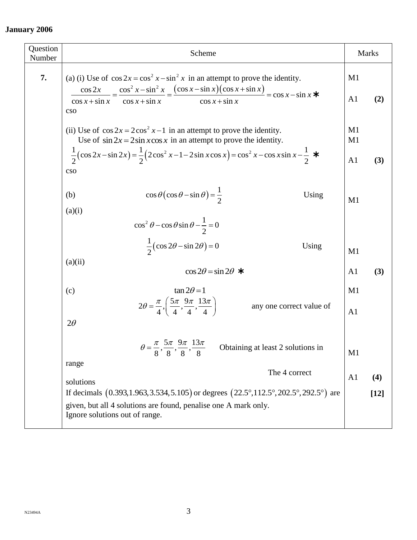| Question<br>Number | Scheme                                                                                                                                                                                                                                                                                 |                                  | Marks         |
|--------------------|----------------------------------------------------------------------------------------------------------------------------------------------------------------------------------------------------------------------------------------------------------------------------------------|----------------------------------|---------------|
| 7.                 | (a) (i) Use of $\cos 2x = \cos^2 x - \sin^2 x$ in an attempt to prove the identity.<br>$\frac{\cos 2x}{\cos x + \sin x} = \frac{\cos^2 x - \sin^2 x}{\cos x + \sin x} = \frac{(\cos x - \sin x)(\cos x + \sin x)}{\cos x + \sin x} = \cos x - \sin x$<br>$\cos x + \sin x$<br>cso      | M1<br>A <sub>1</sub>             | (2)           |
|                    | (ii) Use of $\cos 2x = 2\cos^2 x - 1$ in an attempt to prove the identity.<br>Use of $\sin 2x = 2\sin x \cos x$ in an attempt to prove the identity.<br>$\frac{1}{2}(\cos 2x - \sin 2x) = \frac{1}{2}(2\cos^2 x - 1 - 2\sin x \cos x) = \cos^2 x - \cos x \sin x - \frac{1}{2}$<br>cso | M1<br>M1<br>A <sub>1</sub>       | (3)           |
|                    | $\cos\theta\left(\cos\theta-\sin\theta\right)=\frac{1}{2}$<br>(b)<br>Using<br>(a)(i)<br>$\cos^2 \theta - \cos \theta \sin \theta - \frac{1}{2} = 0$                                                                                                                                    | M1                               |               |
|                    | $\frac{1}{2}(\cos 2\theta - \sin 2\theta) = 0$<br>Using<br>(a)(ii)<br>$\cos 2\theta = \sin 2\theta$ *                                                                                                                                                                                  | M <sub>1</sub><br>A <sub>1</sub> | (3)           |
|                    | $\tan 2\theta = 1$<br>(c)<br>$2\theta = \frac{\pi}{4}, \left(\frac{5\pi}{4}, \frac{9\pi}{4}, \frac{13\pi}{4}\right)$<br>any one correct value of<br>$2\theta$                                                                                                                          | M1<br>A <sub>1</sub>             |               |
|                    | $\theta = \frac{\pi}{8}, \frac{5\pi}{8}, \frac{9\pi}{8}, \frac{13\pi}{8}$<br>Obtaining at least 2 solutions in<br>range                                                                                                                                                                | M1                               |               |
|                    | The 4 correct<br>solutions<br>If decimals $(0.393, 1.963, 3.534, 5.105)$ or degrees $(22.5^{\circ}, 112.5^{\circ}, 202.5^{\circ}, 292.5^{\circ})$ are<br>given, but all 4 solutions are found, penalise one A mark only.<br>Ignore solutions out of range.                             | A <sub>1</sub>                   | (4)<br>$[12]$ |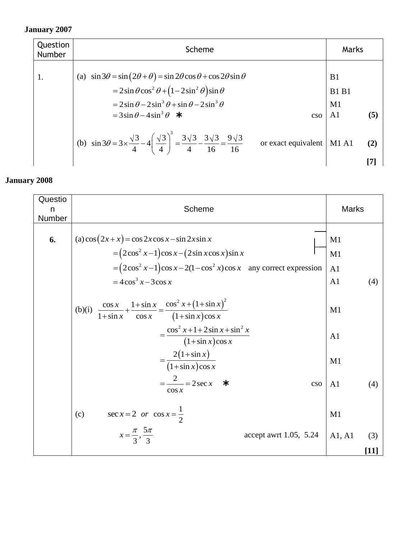| Question<br><b>Number</b> | Scheme                                                                                                                                                                                                                                                                         | Marks                                                         |
|---------------------------|--------------------------------------------------------------------------------------------------------------------------------------------------------------------------------------------------------------------------------------------------------------------------------|---------------------------------------------------------------|
| 1.                        | (a) $\sin 3\theta = \sin (2\theta + \theta) = \sin 2\theta \cos \theta + \cos 2\theta \sin \theta$<br>$= 2\sin\theta\cos^2\theta + (1-2\sin^2\theta)\sin\theta$<br>$= 2\sin\theta - 2\sin^3\theta + \sin\theta - 2\sin^3\theta$<br>$= 3\sin\theta - 4\sin^3\theta$ *<br>$\cos$ | B <sub>1</sub><br><b>B1 B1</b><br>M1<br>(5)<br>A <sub>1</sub> |
|                           | (b) $\sin 3\theta = 3 \times \frac{\sqrt{3}}{4} - 4\left(\frac{\sqrt{3}}{4}\right)^3 = \frac{3\sqrt{3}}{4} - \frac{3\sqrt{3}}{16} = \frac{9\sqrt{3}}{16}$<br>or exact equivalent                                                                                               | <b>M1 A1</b><br>(2)                                           |

| Questio<br>n<br>Number | Scheme                                                                                                                                                                                                | <b>Marks</b>                     |               |
|------------------------|-------------------------------------------------------------------------------------------------------------------------------------------------------------------------------------------------------|----------------------------------|---------------|
| 6.                     | (a) $\cos(2x+x) = \cos 2x \cos x - \sin 2x \sin x$<br>$=(2\cos^2 x-1)\cos x-(2\sin x \cos x)\sin x$<br>$= (2\cos^2 x - 1)\cos x - 2(1-\cos^2 x)\cos x$ any correct expression<br>$=4\cos^3 x-3\cos x$ | M1<br>M1<br>A <sub>1</sub><br>A1 | (4)           |
|                        | $\frac{\cos x}{1+\sin x} + \frac{1+\sin x}{\cos x} = \frac{\cos^2 x + (1+\sin x)^2}{(1+\sin x)\cos x}$<br>(b)(i)<br>$=\frac{\cos^2 x+1+2\sin x+\sin^2 x}{x}$<br>$(1+\sin x)\cos x$                    | M1<br>A <sub>1</sub>             |               |
|                        | $=\frac{2(1+\sin x)}{(1+\sin x)\cos x}$<br>$=\frac{2}{x}$ = 2 sec x<br>— ≭<br>cso<br>$\cos x$<br>(c)                                                                                                  | M1<br>A1                         | (4)           |
|                        | $sec x = 2$ or $cos x = \frac{1}{2}$<br>$x=\frac{\pi}{3},\frac{5\pi}{3}$<br>accept awrt 1.05, 5.24                                                                                                    | M1<br>A1, A1                     | (3)<br>$[11]$ |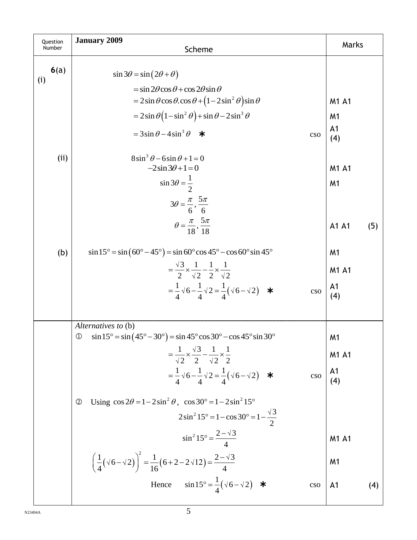| Question<br>Number | <b>January 2009</b><br>Scheme                                                                                                                                                                                                                                                                                                                                                                      | Marks                                            |
|--------------------|----------------------------------------------------------------------------------------------------------------------------------------------------------------------------------------------------------------------------------------------------------------------------------------------------------------------------------------------------------------------------------------------------|--------------------------------------------------|
| 6(a)<br>(i)        | $\sin 3\theta = \sin (2\theta + \theta)$<br>$=$ sin 2 $\theta$ cos $\theta$ + cos 2 $\theta$ sin $\theta$<br>$= 2\sin\theta\cos\theta$ .cos $\theta + (1-2\sin^2\theta)\sin\theta$<br>$= 2\sin\theta\left(1-\sin^2\theta\right) + \sin\theta - 2\sin^3\theta$<br>$=3\sin\theta-4\sin^3\theta$ *<br>cso                                                                                             | M1 A1<br>M <sub>1</sub><br>A <sub>1</sub><br>(4) |
| (i)                | $8\sin^3\theta - 6\sin\theta + 1 = 0$<br>$-2\sin 3\theta + 1 = 0$<br>$\sin 3\theta = \frac{1}{2}$<br>$3\theta = \frac{\pi}{6}, \frac{5\pi}{6}$<br>$\theta = \frac{\pi}{18}, \frac{5\pi}{18}$                                                                                                                                                                                                       | M1 A1<br>M <sub>1</sub><br>A1 A1<br>(5)          |
| (b)                | $\sin 15^\circ = \sin (60^\circ - 45^\circ) = \sin 60^\circ \cos 45^\circ - \cos 60^\circ \sin 45^\circ$<br>$=\frac{\sqrt{3}}{2}\times\frac{1}{\sqrt{2}}-\frac{1}{2}\times\frac{1}{\sqrt{2}}$<br>$=\frac{1}{4}\sqrt{6}-\frac{1}{4}\sqrt{2}=\frac{1}{4}(\sqrt{6}-\sqrt{2})$ *<br>cso                                                                                                                | M <sub>1</sub><br>M1 A1<br>A <sub>1</sub><br>(4) |
|                    | Alternatives to (b)<br>$\sin 15^\circ = \sin (45^\circ - 30^\circ) = \sin 45^\circ \cos 30^\circ - \cos 45^\circ \sin 30^\circ$<br>$^\circledR$<br>$=\frac{1}{\sqrt{2}}\times\frac{\sqrt{3}}{2}-\frac{1}{\sqrt{2}}\times\frac{1}{2}$<br>$=\frac{1}{4}\sqrt{6}-\frac{1}{4}\sqrt{2}=\frac{1}{4}(\sqrt{6}-\sqrt{2})$ *<br>cso                                                                         | M1<br><b>M1 A1</b><br>A1<br>(4)                  |
|                    | Using $\cos 2\theta = 1 - 2\sin^2 \theta$ , $\cos 30^\circ = 1 - 2\sin^2 15^\circ$<br>$^{\circledR}$<br>$2\sin^2 15^\circ = 1 - \cos 30^\circ = 1 - \frac{\sqrt{3}}{2}$<br>$\sin^2 15^\circ = \frac{2-\sqrt{3}}{4}$<br>$\left(\frac{1}{4}(\sqrt{6}-\sqrt{2})\right)^2 = \frac{1}{16}(6+2-2\sqrt{12}) = \frac{2-\sqrt{3}}{4}$<br>$\sin 15^\circ = \frac{1}{4}(\sqrt{6}-\sqrt{2})$ *<br>Hence<br>cso | M1 A1<br>M <sub>1</sub><br>A <sub>1</sub><br>(4) |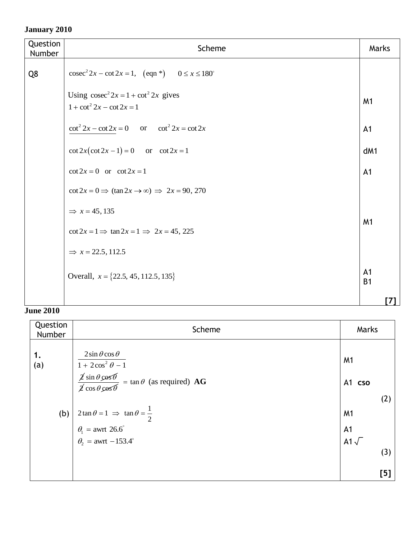| Question<br>Number | Scheme                                                                   | Marks                       |
|--------------------|--------------------------------------------------------------------------|-----------------------------|
| Q8                 | $\csc^2 2x - \cot 2x = 1$ , $(\text{eqn}^*)$ $0 \le x \le 180^\circ$     |                             |
|                    | Using $\csc^2 2x = 1 + \cot^2 2x$ gives<br>$1 + \cot^2 2x - \cot 2x = 1$ | M <sub>1</sub>              |
|                    | $\cot^2 2x - \cot 2x = 0$ or $\cot^2 2x = \cot 2x$                       | A <sub>1</sub>              |
|                    | $\cot 2x(\cot 2x - 1) = 0$ or $\cot 2x = 1$                              | dM1                         |
|                    | $\cot 2x = 0$ or $\cot 2x = 1$                                           | A <sub>1</sub>              |
|                    | $\cot 2x = 0 \implies (\tan 2x \to \infty) \implies 2x = 90, 270$        |                             |
|                    | $\Rightarrow$ x = 45, 135                                                |                             |
|                    | $\cot 2x = 1 \implies \tan 2x = 1 \implies 2x = 45, 225$                 | M <sub>1</sub>              |
|                    | $\Rightarrow$ x = 22.5, 112.5                                            |                             |
|                    | Overall, $x = \{22.5, 45, 112.5, 135\}$                                  | A <sub>1</sub><br><b>B1</b> |
|                    |                                                                          |                             |

| Question<br>Number | Scheme                                                                                                                                                                                                                                                                                                                            | Marks                                                        |     |
|--------------------|-----------------------------------------------------------------------------------------------------------------------------------------------------------------------------------------------------------------------------------------------------------------------------------------------------------------------------------|--------------------------------------------------------------|-----|
| 1.<br>(a)<br>(b)   | $2\sin\theta\cos\theta$<br>$1+2\cos^2\theta-1$<br>$\frac{\cancel{2} \sin \theta \cancel{2} \cancel{\circ} \cancel{6}}{\cancel{2} \cos \theta \cancel{2} \cancel{\circ} \cancel{6}} = \tan \theta$ (as required) AG<br>$2\tan\theta = 1 \implies \tan\theta = \frac{1}{2}$<br>$\theta_1$ = awrt 26.6°<br>$\theta_2$ = awrt -153.4° | M <sub>1</sub><br>A1 cso<br>M <sub>1</sub><br>A <sub>1</sub> | (2) |
|                    |                                                                                                                                                                                                                                                                                                                                   | A1 $\sqrt{ }$                                                | (3) |
|                    |                                                                                                                                                                                                                                                                                                                                   |                                                              | [5] |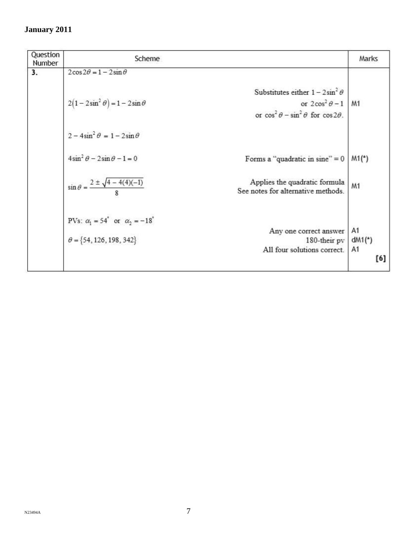| Question<br>Number | Scheme                                               |                                                                     | Marks                |
|--------------------|------------------------------------------------------|---------------------------------------------------------------------|----------------------|
| 3.                 | $2\cos 2\theta = 1 - 2\sin \theta$                   |                                                                     |                      |
|                    |                                                      | Substitutes either $1 - 2\sin^2 \theta$                             |                      |
|                    | $2(1-2\sin^2\theta)-1-2\sin\theta$                   | or $2\cos^2\theta - 1$                                              | M1                   |
|                    |                                                      | or $\cos^2 \theta - \sin^2 \theta$ for $\cos 2\theta$ .             |                      |
|                    | $2 - 4\sin^2 \theta = 1 - 2\sin \theta$              |                                                                     |                      |
|                    | $4\sin^2\theta - 2\sin\theta - 1 = 0$                | Forms a "quadratic in sine" $= 0$                                   | $M1(*)$              |
|                    | $\sin \theta = \frac{2 \pm \sqrt{4 - 4(4)(-1)}}{2}$  | Applies the quadratic formula<br>See notes for alternative methods. | M1                   |
|                    | PVs: $\alpha_1 = 54^\circ$ or $\alpha_2 = -18^\circ$ |                                                                     |                      |
|                    |                                                      | Any one correct answer                                              | A1                   |
|                    | $\theta = \{54, 126, 198, 342\}$                     | 180-their pv                                                        | $dM1$ <sup>*</sup> ) |
|                    |                                                      | All four solutions correct.                                         | A1<br>[6]            |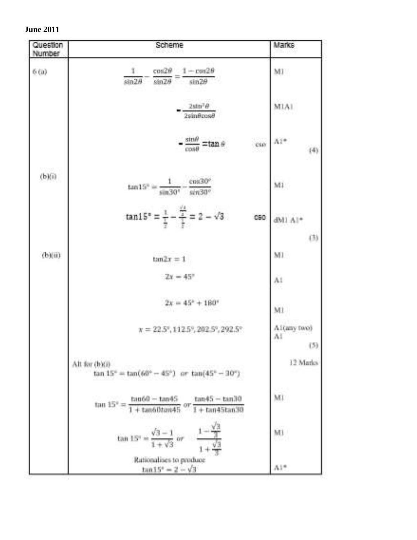|  | <b>June 2011</b> |  |
|--|------------------|--|
|--|------------------|--|

| Question<br>Number | Scheme                                                                                                               | Marks                       |
|--------------------|----------------------------------------------------------------------------------------------------------------------|-----------------------------|
| 6(a)               | $\cos 2\theta = 1 - \cos 2\theta$<br>ı.<br>$sin 2\theta$ $sin 2\theta$<br>$sin2\theta$                               | MI                          |
|                    | $2 \sin^2 \theta$<br>$2 \sin \theta \cos \theta$                                                                     | M1A1                        |
|                    | $-\frac{\sin\theta}{\cos\theta}$ =tan $\theta$<br>ese                                                                | Ai*<br>(4)                  |
| (b)(i)             | $\tan 15^\circ = \frac{1}{\sqrt{1.5}} \frac{\cos 30^\circ}{\sqrt{1.5}}$<br>$sin30^\circ$ $sin30^\circ$               | M1                          |
|                    | $\tan 15^{\circ} = \frac{1}{\frac{1}{2}} - \frac{\frac{11}{2}}{\frac{1}{2}} = 2 - \sqrt{3}$<br>CBO                   | dMI Al*<br>(3)              |
| (b)(ii)            | $tan 2x = 1$                                                                                                         | MI                          |
|                    | $2x = 45^{\circ}$                                                                                                    | Al                          |
|                    | $2x = 45^2 + 180^4$                                                                                                  | M1                          |
|                    | $x = 22.5$ <sup>e</sup> , 112.5 <sup>c</sup> , 202.5 <sup>c</sup> , 292.5 <sup>c</sup>                               | A1(any two)<br>1.1.1<br>(5) |
|                    | Alt for (b)(i)<br>$\frac{\text{(b)}}{\text{(b)}} = \tan(60^\circ - 45^\circ)$ or $\tan(45^\circ - 30^\circ)$         | 12 Marks                    |
|                    | $\tan 15^{\circ} = \frac{\tan 60 - \tan 45}{1 + \tan 60 \tan 45}$ or $\frac{\tan 45 - \tan 30}{1 + \tan 45 \tan 30}$ | Mi                          |
|                    | tan 15° = $\frac{\sqrt{3}-1}{1+\sqrt{3}}$ or $\frac{1-\frac{\sqrt{3}}{3}}{1+\frac{\sqrt{3}}{3}}$                     | Mi                          |
|                    | Rationalises to produce<br>$tan 15^{\circ} = 2 - \sqrt{3}$                                                           | Ai*                         |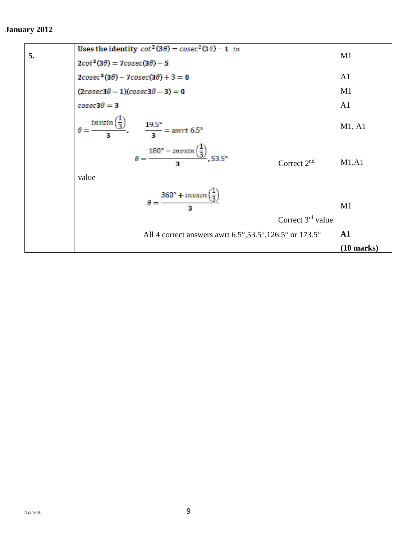| $\theta = \frac{invsin(\frac{1}{3})}{2}$ , $\frac{19.5^{\circ}}{3} = a wrt 6.5^{\circ}$<br>$\theta = \frac{180^{\circ} - invsin(\frac{1}{3})}{2}$ , 53.5° |                      |
|-----------------------------------------------------------------------------------------------------------------------------------------------------------|----------------------|
| Correct $2nd$<br>value                                                                                                                                    | M1, A1               |
|                                                                                                                                                           |                      |
| $\theta = \frac{360^{\circ} + invsin\left(\frac{1}{3}\right)}{2}$                                                                                         | M1                   |
| Correct $3rd$ value                                                                                                                                       |                      |
| All 4 correct answers awrt $6.5^{\circ}, 53.5^{\circ}, 126.5^{\circ}$ or $173.5^{\circ}$                                                                  | ${\bf A1}$           |
|                                                                                                                                                           | $(10 \text{ marks})$ |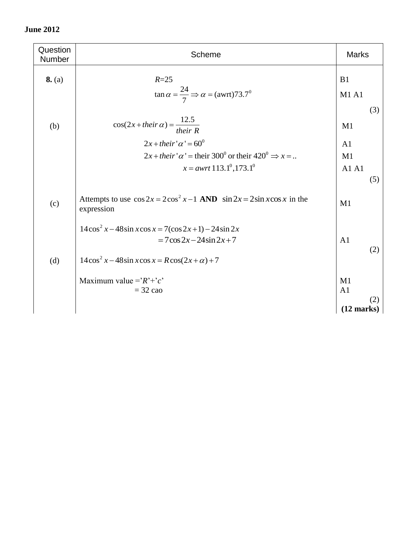| Question<br>Number | Scheme                                                                                        | <b>Marks</b>         |     |
|--------------------|-----------------------------------------------------------------------------------------------|----------------------|-----|
| 8. (a)             | $R=25$                                                                                        | B1                   |     |
|                    | $\tan \alpha = \frac{24}{7} \Rightarrow \alpha = (awrt)73.7^{\circ}$                          | <b>M1 A1</b>         |     |
|                    |                                                                                               |                      | (3) |
| (b)                | $cos(2x + their \alpha) = \frac{12.5}{their R}$                                               | M1                   |     |
|                    | $2x + their' \alpha' = 60^0$                                                                  | A <sub>1</sub>       |     |
|                    | $2x + their' \alpha'$ = their 300 <sup>0</sup> or their 420 <sup>0</sup> $\Rightarrow$ x =    | M1                   |     |
|                    | $x = a wrt 113.1^{\circ}, 173.1^{\circ}$                                                      | A1A1                 |     |
|                    |                                                                                               |                      | (5) |
| (c)                | Attempts to use $\cos 2x = 2\cos^2 x - 1$ AND $\sin 2x = 2\sin x \cos x$ in the<br>expression | M1                   |     |
|                    | $14\cos^2 x - 48\sin x \cos x = 7(\cos 2x + 1) - 24\sin 2x$                                   |                      |     |
|                    | $= 7 \cos 2x - 24 \sin 2x + 7$                                                                | A <sub>1</sub>       |     |
| (d)                | $14\cos^2 x - 48\sin x \cos x = R\cos(2x + \alpha) + 7$                                       |                      | (2) |
|                    | Maximum value = $R^+$ $\cdot$ $c$                                                             | M1                   |     |
|                    | $=$ 32 cao                                                                                    | A <sub>1</sub>       |     |
|                    |                                                                                               | $(12 \text{ marks})$ | (2) |
|                    |                                                                                               |                      |     |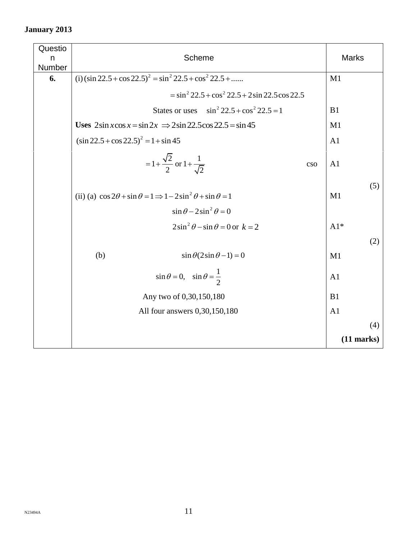| Questio<br>n<br>Number | Scheme                                                                                                                        | <b>Marks</b>   |
|------------------------|-------------------------------------------------------------------------------------------------------------------------------|----------------|
| 6.                     | (i) $(\sin 22.5 + \cos 22.5)^2 = \sin^2 22.5 + \cos^2 22.5 + \dots$                                                           | M1             |
|                        | $=$ sin <sup>2</sup> 22.5 + cos <sup>2</sup> 22.5 + 2sin 22.5 cos 22.5                                                        |                |
|                        | $\sin^2 22.5 + \cos^2 22.5 = 1$<br>States or uses                                                                             | B1             |
|                        | Uses $2\sin x \cos x = \sin 2x \implies 2\sin 22.5 \cos 22.5 = \sin 45$                                                       |                |
|                        | $(\sin 22.5 + \cos 22.5)^2 = 1 + \sin 45$                                                                                     |                |
|                        | $=1+\frac{\sqrt{2}}{2}$ or $1+\frac{1}{\sqrt{2}}$<br>cso                                                                      | A <sub>1</sub> |
|                        | (ii) (a) $\cos 2\theta + \sin \theta = 1 \Rightarrow 1 - 2\sin^2 \theta + \sin \theta = 1$                                    | (5)<br>M1      |
|                        | $\sin \theta - 2 \sin^2 \theta = 0$                                                                                           |                |
|                        | $2\sin^2\theta - \sin\theta = 0$ or $k = 2$                                                                                   | $A1*$          |
|                        |                                                                                                                               | (2)            |
|                        | (b)<br>$\sin \theta (2 \sin \theta - 1) = 0$                                                                                  | M1             |
|                        | $\sin \theta = 0$ , $\sin \theta = \frac{1}{2}$<br>A <sub>1</sub><br>Any two of 0,30,150,180<br>All four answers 0,30,150,180 |                |
|                        |                                                                                                                               |                |
|                        |                                                                                                                               |                |
|                        |                                                                                                                               |                |
|                        |                                                                                                                               |                |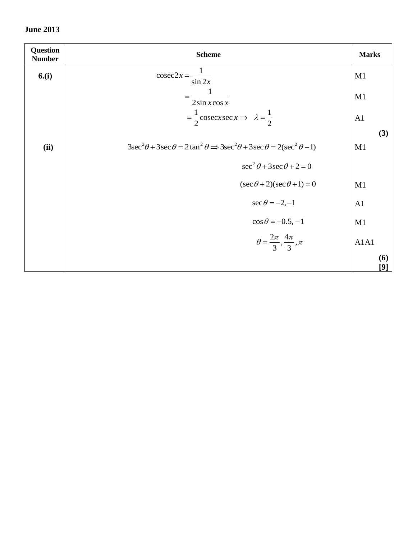| <b>Question</b><br><b>Number</b> | <b>Scheme</b>                                                                                               | <b>Marks</b> |
|----------------------------------|-------------------------------------------------------------------------------------------------------------|--------------|
| 6.(i)                            | $\csc 2x = \frac{1}{\sin 2x}$                                                                               | M1           |
|                                  | $\frac{1}{\sqrt{1-\frac{1}{2}}}$<br>$2\sin x \cos x$                                                        | M1           |
|                                  | $=\frac{1}{2}cscx \sec x \implies \lambda = \frac{1}{2}$                                                    | A1           |
|                                  | $3\sec^2\theta + 3\sec\theta = 2\tan^2\theta \Rightarrow 3\sec^2\theta + 3\sec\theta = 2(\sec^2\theta - 1)$ | (3)          |
| (ii)                             |                                                                                                             | M1           |
|                                  | $\sec^2 \theta + 3 \sec \theta + 2 = 0$                                                                     |              |
|                                  | $(\sec \theta + 2)(\sec \theta + 1) = 0$                                                                    | M1           |
|                                  | $\sec \theta = -2, -1$                                                                                      | A1           |
|                                  | $\cos\theta = -0.5, -1$                                                                                     | M1           |
|                                  | $\theta = \frac{2\pi}{3}, \frac{4\pi}{3}, \pi$                                                              | A1A1         |
|                                  |                                                                                                             | (6)<br>[9]   |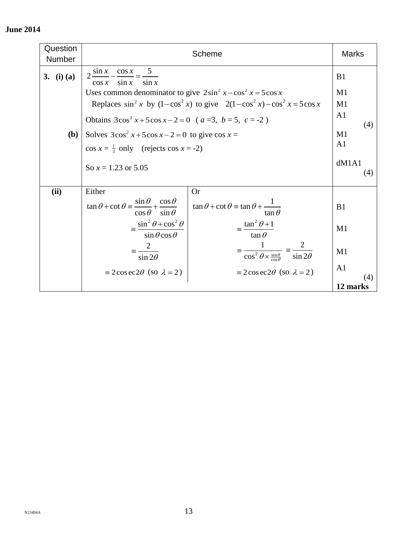| Question<br>Number | Scheme                                                                                                                  |                                                                                    | <b>Marks</b>          |
|--------------------|-------------------------------------------------------------------------------------------------------------------------|------------------------------------------------------------------------------------|-----------------------|
| 3. (i) (a)         | $\frac{\cos x}{1}$ 5<br>$2\frac{\sin x}{x}$<br>$\sin x$<br>$\sin x$<br>$\cos x$                                         |                                                                                    | B1                    |
|                    | Uses common denominator to give $2\sin^2 x - \cos^2 x = 5\cos x$                                                        |                                                                                    | M1                    |
|                    | Replaces $\sin^2 x$ by $(1-\cos^2 x)$ to give $2(1-\cos^2 x) - \cos^2 x = 5\cos x$                                      |                                                                                    | M1                    |
|                    | Obtains $3\cos^2 x + 5\cos x - 2 = 0$ (a=3, b = 5, c = -2)                                                              |                                                                                    | A <sub>1</sub><br>(4) |
| <b>(b)</b>         | Solves $3\cos^2 x + 5\cos x - 2 = 0$ to give $\cos x =$                                                                 |                                                                                    | M1                    |
|                    | $\cos x = \frac{1}{3}$ only (rejects $\cos x = -2$ )                                                                    |                                                                                    | A <sub>1</sub>        |
|                    | So $x = 1.23$ or 5.05                                                                                                   |                                                                                    | dM1A1<br>(4)          |
| (ii)               | Either                                                                                                                  | <b>Or</b>                                                                          |                       |
|                    | $\tan \theta + \cot \theta = \frac{\sin \theta}{\theta} + \frac{\cos \theta}{\theta}$<br>$\cos \theta$<br>$\sin \theta$ | $\tan \theta + \cot \theta = \tan \theta + \frac{1}{\tan \theta}$<br>$\tan \theta$ | B1                    |
|                    | $\equiv \frac{\sin^2 \theta + \cos^2 \theta}{\sqrt{\pi}}$<br>$\sin \theta \cos \theta$                                  | $\equiv \frac{\tan^2 \theta + 1}{2}$<br>$\tan \theta$                              | M1                    |
|                    | $\sin 2\theta$                                                                                                          | $\overline{\cos^2\theta\times\frac{\sin\theta}{\cos\theta}}$<br>$\sin 2\theta$     | M1                    |
|                    | $\equiv 2\cos\frac{\pi}{2}\theta$ (so $\lambda = 2$ )                                                                   | $\equiv 2\cos\frac{\pi}{2}\theta$ (so $\lambda = 2$ )                              | A <sub>1</sub>        |
|                    |                                                                                                                         |                                                                                    | (4)<br>12 marks       |